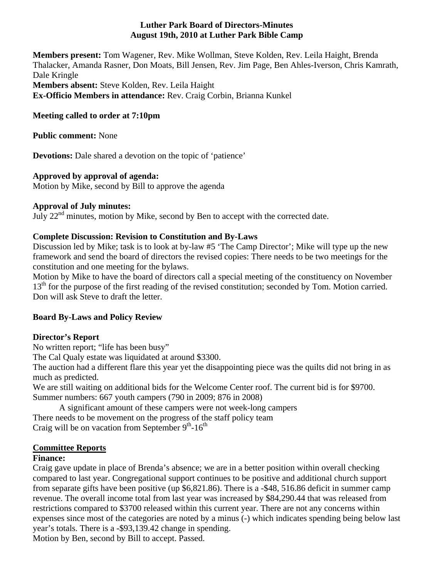#### **Luther Park Board of Directors-Minutes August 19th, 2010 at Luther Park Bible Camp**

**Members present:** Tom Wagener, Rev. Mike Wollman, Steve Kolden, Rev. Leila Haight, Brenda Thalacker, Amanda Rasner, Don Moats, Bill Jensen, Rev. Jim Page, Ben Ahles-Iverson, Chris Kamrath, Dale Kringle **Members absent:** Steve Kolden, Rev. Leila Haight **Ex-Officio Members in attendance:** Rev. Craig Corbin, Brianna Kunkel

## **Meeting called to order at 7:10pm**

**Public comment:** None

**Devotions:** Dale shared a devotion on the topic of 'patience'

## **Approved by approval of agenda:**

Motion by Mike, second by Bill to approve the agenda

#### **Approval of July minutes:**

July 22nd minutes, motion by Mike, second by Ben to accept with the corrected date.

## **Complete Discussion: Revision to Constitution and By-Laws**

Discussion led by Mike; task is to look at by-law #5 'The Camp Director'; Mike will type up the new framework and send the board of directors the revised copies: There needs to be two meetings for the constitution and one meeting for the bylaws.

Motion by Mike to have the board of directors call a special meeting of the constituency on November 13<sup>th</sup> for the purpose of the first reading of the revised constitution; seconded by Tom. Motion carried. Don will ask Steve to draft the letter.

## **Board By-Laws and Policy Review**

## **Director's Report**

No written report; "life has been busy"

The Cal Qualy estate was liquidated at around \$3300.

The auction had a different flare this year yet the disappointing piece was the quilts did not bring in as much as predicted.

We are still waiting on additional bids for the Welcome Center roof. The current bid is for \$9700. Summer numbers: 667 youth campers (790 in 2009; 876 in 2008)

 A significant amount of these campers were not week-long campers There needs to be movement on the progress of the staff policy team Craig will be on vacation from September  $9<sup>th</sup>$ -16<sup>th</sup>

# **Committee Reports**

## **Finance:**

Craig gave update in place of Brenda's absence; we are in a better position within overall checking compared to last year. Congregational support continues to be positive and additional church support from separate gifts have been positive (up \$6,821.86). There is a -\$48, 516.86 deficit in summer camp revenue. The overall income total from last year was increased by \$84,290.44 that was released from restrictions compared to \$3700 released within this current year. There are not any concerns within expenses since most of the categories are noted by a minus (-) which indicates spending being below last year's totals. There is a -\$93,139.42 change in spending.

Motion by Ben, second by Bill to accept. Passed.